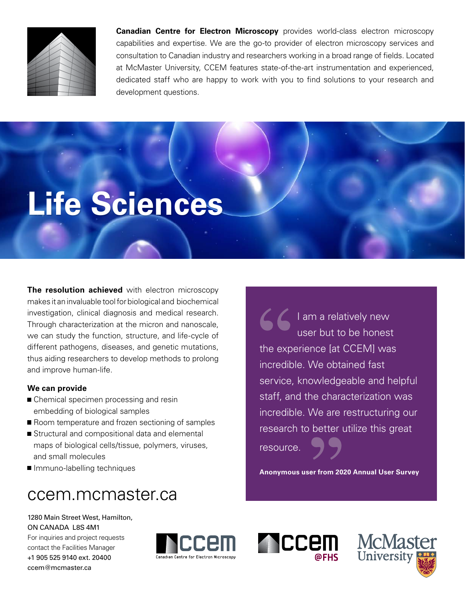

**Canadian Centre for Electron Microscopy** provides world-class electron microscopy capabilities and expertise. We are the go-to provider of electron microscopy services and consultation to Canadian industry and researchers working in a broad range of fields. Located at McMaster University, CCEM features state-of-the-art instrumentation and experienced, dedicated staff who are happy to work with you to find solutions to your research and development questions.

# **Life Sciences**

**The resolution achieved** with electron microscopy makes it an invaluable tool for biological and biochemical investigation, clinical diagnosis and medical research. Through characterization at the micron and nanoscale, we can study the function, structure, and life-cycle of different pathogens, diseases, and genetic mutations, thus aiding researchers to develop methods to prolong and improve human-life.

### **We can provide**

- Chemical specimen processing and resin embedding of biological samples
- Room temperature and frozen sectioning of samples
- Structural and compositional data and elemental maps of biological cells/tissue, polymers, viruses, and small molecules
- **Immuno-labelling techniques**

## ccem.mcmaster.ca

1280 Main Street West, Hamilton, ON CANADA L8S 4M1 For inquiries and project requests

contact the Facilities Manager +1 905 525 9140 ext. 20400 [ccem@mcmaster.ca](mailto:ccem%40mcmaster.ca?subject=)



I am a relatively new user but to be honest the experience [at CCEM] was incredible. We obtained fast service, knowledgeable and helpful staff, and the characterization was incredible. We are restructuring our research to better utilize this great resource.

**Anonymous user from 2020 Annual User Survey**